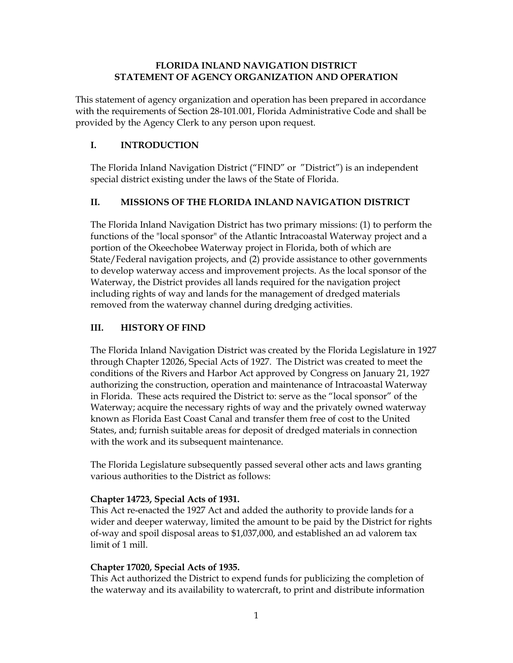### **FLORIDA INLAND NAVIGATION DISTRICT STATEMENT OF AGENCY ORGANIZATION AND OPERATION**

This statement of agency organization and operation has been prepared in accordance with the requirements of Section 28-101.001, Florida Administrative Code and shall be provided by the Agency Clerk to any person upon request.

# **I. INTRODUCTION**

The Florida Inland Navigation District ("FIND" or "District") is an independent special district existing under the laws of the State of Florida.

# **II. MISSIONS OF THE FLORIDA INLAND NAVIGATION DISTRICT**

The Florida Inland Navigation District has two primary missions: (1) to perform the functions of the "local sponsor" of the Atlantic Intracoastal Waterway project and a portion of the Okeechobee Waterway project in Florida, both of which are State/Federal navigation projects, and (2) provide assistance to other governments to develop waterway access and improvement projects. As the local sponsor of the Waterway, the District provides all lands required for the navigation project including rights of way and lands for the management of dredged materials removed from the waterway channel during dredging activities.

# **III. HISTORY OF FIND**

The Florida Inland Navigation District was created by the Florida Legislature in 1927 through Chapter 12026, Special Acts of 1927. The District was created to meet the conditions of the Rivers and Harbor Act approved by Congress on January 21, 1927 authorizing the construction, operation and maintenance of Intracoastal Waterway in Florida. These acts required the District to: serve as the "local sponsor" of the Waterway; acquire the necessary rights of way and the privately owned waterway known as Florida East Coast Canal and transfer them free of cost to the United States, and; furnish suitable areas for deposit of dredged materials in connection with the work and its subsequent maintenance.

The Florida Legislature subsequently passed several other acts and laws granting various authorities to the District as follows:

# **Chapter 14723, Special Acts of 1931.**

This Act re-enacted the 1927 Act and added the authority to provide lands for a wider and deeper waterway, limited the amount to be paid by the District for rights of-way and spoil disposal areas to \$1,037,000, and established an ad valorem tax limit of 1 mill.

## **Chapter 17020, Special Acts of 1935.**

This Act authorized the District to expend funds for publicizing the completion of the waterway and its availability to watercraft, to print and distribute information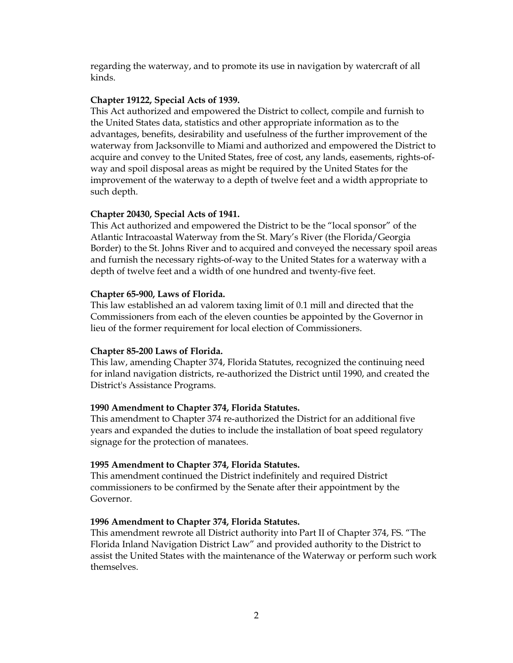regarding the waterway, and to promote its use in navigation by watercraft of all kinds.

#### **Chapter 19122, Special Acts of 1939.**

This Act authorized and empowered the District to collect, compile and furnish to the United States data, statistics and other appropriate information as to the advantages, benefits, desirability and usefulness of the further improvement of the waterway from Jacksonville to Miami and authorized and empowered the District to acquire and convey to the United States, free of cost, any lands, easements, rights-ofway and spoil disposal areas as might be required by the United States for the improvement of the waterway to a depth of twelve feet and a width appropriate to such depth.

#### **Chapter 20430, Special Acts of 1941.**

This Act authorized and empowered the District to be the "local sponsor" of the Atlantic Intracoastal Waterway from the St. Mary's River (the Florida/Georgia Border) to the St. Johns River and to acquired and conveyed the necessary spoil areas and furnish the necessary rights-of-way to the United States for a waterway with a depth of twelve feet and a width of one hundred and twenty-five feet.

#### **Chapter 65-900, Laws of Florida.**

This law established an ad valorem taxing limit of 0.1 mill and directed that the Commissioners from each of the eleven counties be appointed by the Governor in lieu of the former requirement for local election of Commissioners.

#### **Chapter 85-200 Laws of Florida.**

This law, amending Chapter 374, Florida Statutes, recognized the continuing need for inland navigation districts, re-authorized the District until 1990, and created the District's Assistance Programs.

#### **1990 Amendment to Chapter 374, Florida Statutes.**

This amendment to Chapter 374 re-authorized the District for an additional five years and expanded the duties to include the installation of boat speed regulatory signage for the protection of manatees.

#### **1995 Amendment to Chapter 374, Florida Statutes.**

This amendment continued the District indefinitely and required District commissioners to be confirmed by the Senate after their appointment by the Governor.

#### **1996 Amendment to Chapter 374, Florida Statutes.**

This amendment rewrote all District authority into Part II of Chapter 374, FS. "The Florida Inland Navigation District Law" and provided authority to the District to assist the United States with the maintenance of the Waterway or perform such work themselves.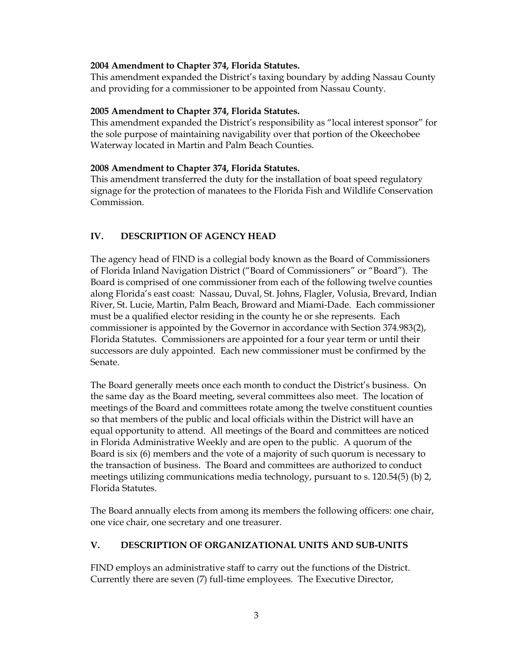### **2004 Amendment to Chapter 374, Florida Statutes.**

This amendment expanded the District's taxing boundary by adding Nassau County and providing for a commissioner to be appointed from Nassau County.

### **2005 Amendment to Chapter 374, Florida Statutes.**

This amendment expanded the District's responsibility as "local interest sponsor" for the sole purpose of maintaining navigability over that portion of the Okeechobee Waterway located in Martin and Palm Beach Counties.

### **2008 Amendment to Chapter 374, Florida Statutes.**

This amendment transferred the duty for the installation of boat speed regulatory signage for the protection of manatees to the Florida Fish and Wildlife Conservation Commission.

# **IV. DESCRIPTION OF AGENCY HEAD**

The agency head of FIND is a collegial body known as the Board of Commissioners of Florida Inland Navigation District ("Board of Commissioners" or "Board"). The Board is comprised of one commissioner from each of the following twelve counties along Florida's east coast: Nassau, Duval, St. Johns, Flagler, Volusia, Brevard, Indian River, St. Lucie, Martin, Palm Beach, Broward and Miami-Dade. Each commissioner must be a qualified elector residing in the county he or she represents. Each commissioner is appointed by the Governor in accordance with Section 374.983(2), Florida Statutes. Commissioners are appointed for a four year term or until their successors are duly appointed. Each new commissioner must be confirmed by the Senate.

The Board generally meets once each month to conduct the District's business. On the same day as the Board meeting, several committees also meet. The location of meetings of the Board and committees rotate among the twelve constituent counties so that members of the public and local officials within the District will have an equal opportunity to attend. All meetings of the Board and committees are noticed in Florida Administrative Weekly and are open to the public. A quorum of the Board is six (6) members and the vote of a majority of such quorum is necessary to the transaction of business. The Board and committees are authorized to conduct meetings utilizing communications media technology, pursuant to s. 120.54(5) (b) 2, Florida Statutes.

The Board annually elects from among its members the following officers: one chair, one vice chair, one secretary and one treasurer.

## **V. DESCRIPTION OF ORGANIZATIONAL UNITS AND SUB-UNITS**

FIND employs an administrative staff to carry out the functions of the District. Currently there are seven (7) full-time employees. The Executive Director,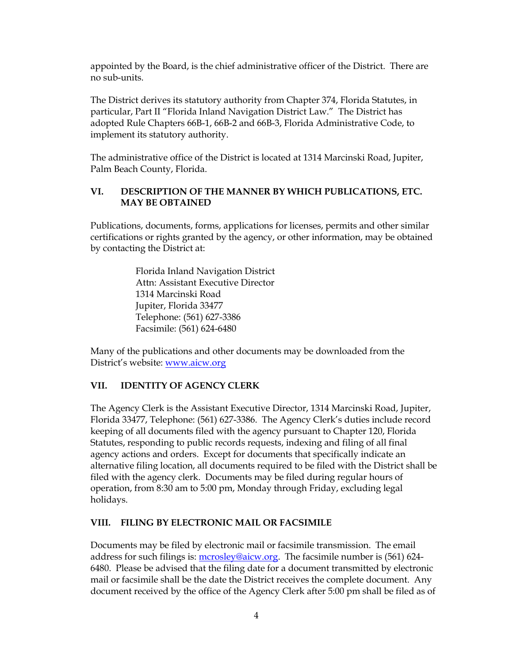appointed by the Board, is the chief administrative officer of the District. There are no sub-units.

The District derives its statutory authority from Chapter 374, Florida Statutes, in particular, Part II "Florida Inland Navigation District Law." The District has adopted Rule Chapters 66B-1, 66B-2 and 66B-3, Florida Administrative Code, to implement its statutory authority.

The administrative office of the District is located at 1314 Marcinski Road, Jupiter, Palm Beach County, Florida.

## **VI. DESCRIPTION OF THE MANNER BY WHICH PUBLICATIONS, ETC. MAY BE OBTAINED**

Publications, documents, forms, applications for licenses, permits and other similar certifications or rights granted by the agency, or other information, may be obtained by contacting the District at:

> Florida Inland Navigation District Attn: Assistant Executive Director 1314 Marcinski Road Jupiter, Florida 33477 Telephone: (561) 627-3386 Facsimile: (561) 624-6480

Many of the publications and other documents may be downloaded from the District's website: [www.aicw.org](http://www.aicw.org/)

## **VII. IDENTITY OF AGENCY CLERK**

The Agency Clerk is the Assistant Executive Director, 1314 Marcinski Road, Jupiter, Florida 33477, Telephone: (561) 627-3386. The Agency Clerk's duties include record keeping of all documents filed with the agency pursuant to Chapter 120, Florida Statutes, responding to public records requests, indexing and filing of all final agency actions and orders. Except for documents that specifically indicate an alternative filing location, all documents required to be filed with the District shall be filed with the agency clerk. Documents may be filed during regular hours of operation, from 8:30 am to 5:00 pm, Monday through Friday, excluding legal holidays.

## **VIII. FILING BY ELECTRONIC MAIL OR FACSIMILE**

Documents may be filed by electronic mail or facsimile transmission. The email address for such filings is: [mcrosley@aicw.org.](mailto:mcrosley@aicw.org) The facsimile number is (561) 624-6480. Please be advised that the filing date for a document transmitted by electronic mail or facsimile shall be the date the District receives the complete document. Any document received by the office of the Agency Clerk after 5:00 pm shall be filed as of